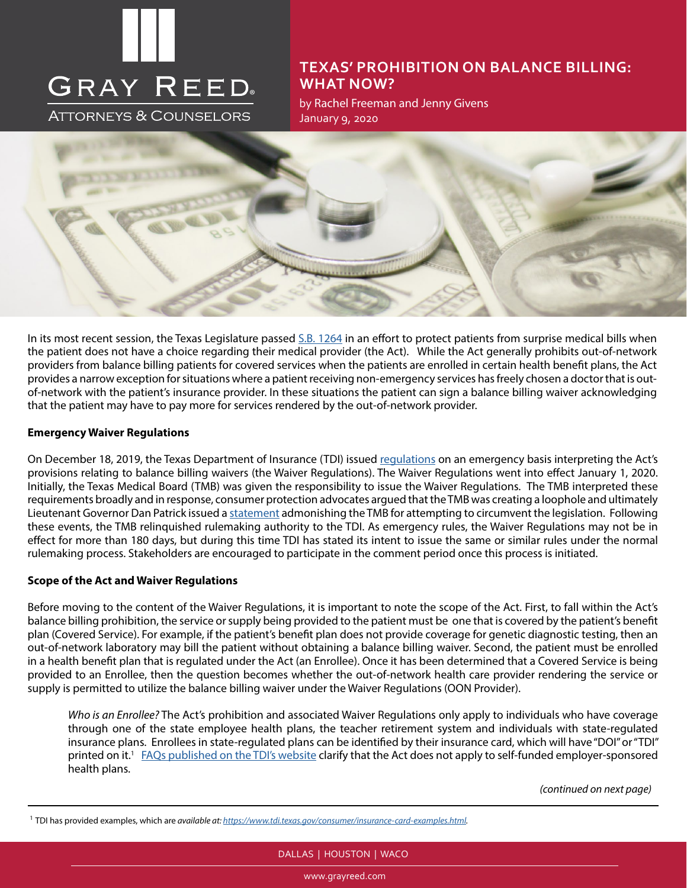# **GRAY REED**

ATTORNEYS & COUNSELORS

# **TEXAS' PROHIBITION ON BALANCE BILLING: WHAT NOW?**

by Rachel Freeman and Jenny Givens January 9, 2020



In its most recent session, the Texas Legislature passed [S.B. 1264](https://capitol.texas.gov/tlodocs/86R/billtext/html/SB01264I.htm) in an effort to protect patients from surprise medical bills when the patient does not have a choice regarding their medical provider (the Act). While the Act generally prohibits out-of-network providers from balance billing patients for covered services when the patients are enrolled in certain health benefit plans, the Act provides a narrow exception for situations where a patient receiving non-emergency services has freely chosen a doctor that is outof-network with the patient's insurance provider. In these situations the patient can sign a balance billing waiver acknowledging that the patient may have to pay more for services rendered by the out-of-network provider.

#### **Emergency Waiver Regulations**

On December 18, 2019, the Texas Department of Insurance (TDI) issued [regulations](https://www.tdi.texas.gov/rules/2019/documents/20196181.pdf) on an emergency basis interpreting the Act's provisions relating to balance billing waivers (the Waiver Regulations). The Waiver Regulations went into effect January 1, 2020. Initially, the Texas Medical Board (TMB) was given the responsibility to issue the Waiver Regulations. The TMB interpreted these requirements broadly and in response, consumer protection advocates argued that the TMB was creating a loophole and ultimately Lieutenant Governor Dan Patrick issued a [statement](https://www.ltgov.state.tx.us/2019/11/26/lt-gov-patrick-statement-on-surprise-billing-rules/) admonishing the TMB for attempting to circumvent the legislation. Following these events, the TMB relinquished rulemaking authority to the TDI. As emergency rules, the Waiver Regulations may not be in effect for more than 180 days, but during this time TDI has stated its intent to issue the same or similar rules under the normal rulemaking process. Stakeholders are encouraged to participate in the comment period once this process is initiated.

#### **Scope of the Act and Waiver Regulations**

Before moving to the content of the Waiver Regulations, it is important to note the scope of the Act. First, to fall within the Act's balance billing prohibition, the service or supply being provided to the patient must be one that is covered by the patient's benefit plan (Covered Service). For example, if the patient's benefit plan does not provide coverage for genetic diagnostic testing, then an out-of-network laboratory may bill the patient without obtaining a balance billing waiver. Second, the patient must be enrolled in a health benefit plan that is regulated under the Act (an Enrollee). Once it has been determined that a Covered Service is being provided to an Enrollee, then the question becomes whether the out-of-network health care provider rendering the service or supply is permitted to utilize the balance billing waiver under the Waiver Regulations (OON Provider).

*Who is an Enrollee?* The Act's prohibition and associated Waiver Regulations only apply to individuals who have coverage through one of the state employee health plans, the teacher retirement system and individuals with state-regulated insurance plans. Enrollees in state-regulated plans can be identified by their insurance card, which will have "DOI" or "TDI" printed on it.<sup>1</sup> [FAQs published on the TDI's website](https://www.tdi.texas.gov/medical-billing/faqs.html) clarify that the Act does not apply to self-funded employer-sponsored health plans.

*(continued on next page)*

# DALLAS | HOUSTON | WACO

www.grayreed.com

<sup>1</sup> TDI has provided examples, which are *available at: [https://www.tdi.texas.gov/consumer/insurance-card-examples.html.](https://www.tdi.texas.gov/consumer/insurance-card-examples.html)*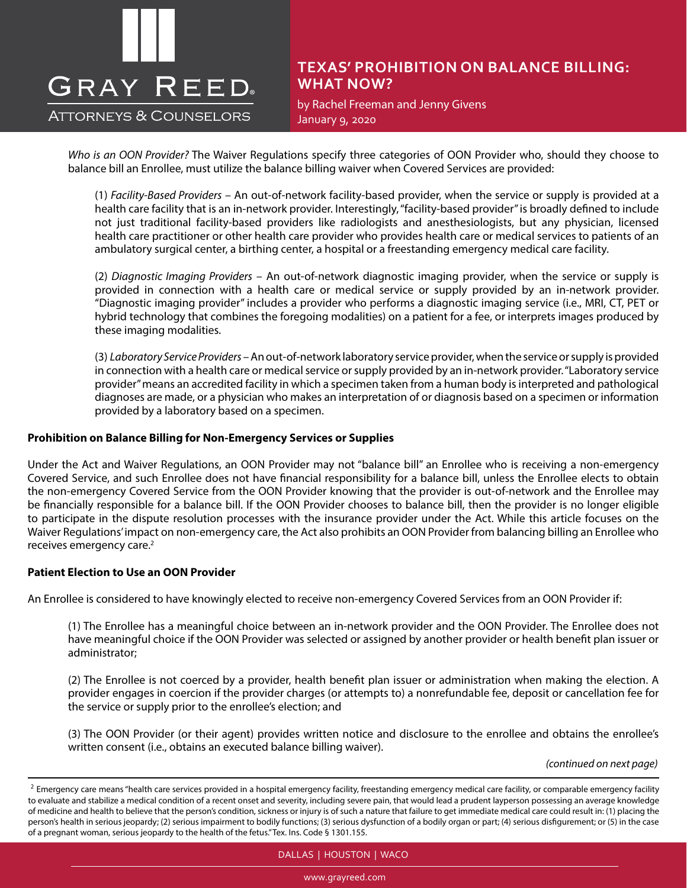# **GRAY REED**

**ATTORNEYS & COUNSELORS** 

# **TEXAS' PROHIBITION ON BALANCE BILLING: WHAT NOW?**

by Rachel Freeman and Jenny Givens January 9, 2020

*Who is an OON Provider?* The Waiver Regulations specify three categories of OON Provider who, should they choose to balance bill an Enrollee, must utilize the balance billing waiver when Covered Services are provided:

(1) *Facility-Based Providers* – An out-of-network facility-based provider, when the service or supply is provided at a health care facility that is an in-network provider. Interestingly, "facility-based provider" is broadly defined to include not just traditional facility-based providers like radiologists and anesthesiologists, but any physician, licensed health care practitioner or other health care provider who provides health care or medical services to patients of an ambulatory surgical center, a birthing center, a hospital or a freestanding emergency medical care facility.

(2) *Diagnostic Imaging Providers* – An out-of-network diagnostic imaging provider, when the service or supply is provided in connection with a health care or medical service or supply provided by an in-network provider. "Diagnostic imaging provider" includes a provider who performs a diagnostic imaging service (i.e., MRI, CT, PET or hybrid technology that combines the foregoing modalities) on a patient for a fee, or interprets images produced by these imaging modalities.

(3) *Laboratory Service Providers* – An out-of-network laboratory service provider, when the service or supply is provided in connection with a health care or medical service or supply provided by an in-network provider. "Laboratory service provider" means an accredited facility in which a specimen taken from a human body is interpreted and pathological diagnoses are made, or a physician who makes an interpretation of or diagnosis based on a specimen or information provided by a laboratory based on a specimen.

#### **Prohibition on Balance Billing for Non-Emergency Services or Supplies**

Under the Act and Waiver Regulations, an OON Provider may not "balance bill" an Enrollee who is receiving a non-emergency Covered Service, and such Enrollee does not have financial responsibility for a balance bill, unless the Enrollee elects to obtain the non-emergency Covered Service from the OON Provider knowing that the provider is out-of-network and the Enrollee may be financially responsible for a balance bill. If the OON Provider chooses to balance bill, then the provider is no longer eligible to participate in the dispute resolution processes with the insurance provider under the Act. While this article focuses on the Waiver Regulations' impact on non-emergency care, the Act also prohibits an OON Provider from balancing billing an Enrollee who receives emergency care.2

#### **Patient Election to Use an OON Provider**

An Enrollee is considered to have knowingly elected to receive non-emergency Covered Services from an OON Provider if:

(1) The Enrollee has a meaningful choice between an in-network provider and the OON Provider. The Enrollee does not have meaningful choice if the OON Provider was selected or assigned by another provider or health benefit plan issuer or administrator;

(2) The Enrollee is not coerced by a provider, health benefit plan issuer or administration when making the election. A provider engages in coercion if the provider charges (or attempts to) a nonrefundable fee, deposit or cancellation fee for the service or supply prior to the enrollee's election; and

(3) The OON Provider (or their agent) provides written notice and disclosure to the enrollee and obtains the enrollee's written consent (i.e., obtains an executed balance billing waiver).

*(continued on next page)*

DALLAS | HOUSTON | WACO

www.grayreed.com

<sup>&</sup>lt;sup>2</sup> Emergency care means "health care services provided in a hospital emergency facility, freestanding emergency medical care facility, or comparable emergency facility to evaluate and stabilize a medical condition of a recent onset and severity, including severe pain, that would lead a prudent layperson possessing an average knowledge of medicine and health to believe that the person's condition, sickness or injury is of such a nature that failure to get immediate medical care could result in: (1) placing the person's health in serious jeopardy; (2) serious impairment to bodily functions; (3) serious dysfunction of a bodily organ or part; (4) serious disfigurement; or (5) in the case of a pregnant woman, serious jeopardy to the health of the fetus." Tex. Ins. Code § 1301.155.